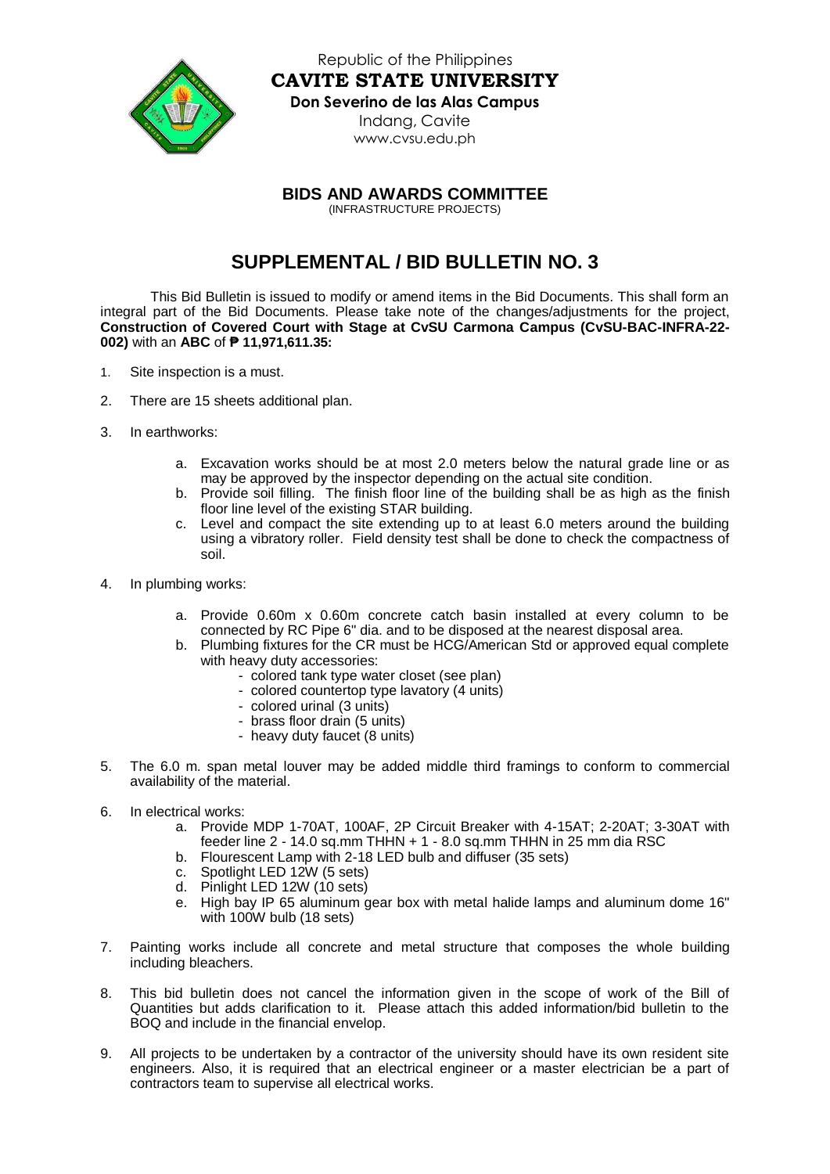

Republic of the Philippines **CAVITE STATE UNIVERSITY Don Severino de las Alas Campus** Indang, Cavite [www.cvsu.edu.ph](http://www.cvsu.edu.ph/)

**BIDS AND AWARDS COMMITTEE**

(INFRASTRUCTURE PROJECTS)

## **SUPPLEMENTAL / BID BULLETIN NO. 3**

This Bid Bulletin is issued to modify or amend items in the Bid Documents. This shall form an integral part of the Bid Documents. Please take note of the changes/adjustments for the project, **Construction of Covered Court with Stage at CvSU Carmona Campus (CvSU-BAC-INFRA-22- 002)** with an **ABC** of **₱ 11,971,611.35:**

- 1. Site inspection is a must.
- 2. There are 15 sheets additional plan.
- 3. In earthworks:
	- a. Excavation works should be at most 2.0 meters below the natural grade line or as may be approved by the inspector depending on the actual site condition.
	- b. Provide soil filling. The finish floor line of the building shall be as high as the finish floor line level of the existing STAR building.
	- c. Level and compact the site extending up to at least 6.0 meters around the building using a vibratory roller. Field density test shall be done to check the compactness of soil.
- 4. In plumbing works:
	- a. Provide 0.60m x 0.60m concrete catch basin installed at every column to be connected by RC Pipe 6" dia. and to be disposed at the nearest disposal area.
	- b. Plumbing fixtures for the CR must be HCG/American Std or approved equal complete with heavy duty accessories:
		- colored tank type water closet (see plan)
		- colored countertop type lavatory (4 units)
		- colored urinal (3 units)
		- brass floor drain (5 units)
		- heavy duty faucet (8 units)
- 5. The 6.0 m. span metal louver may be added middle third framings to conform to commercial availability of the material.
- 6. In electrical works:
	- a. Provide MDP 1-70AT, 100AF, 2P Circuit Breaker with 4-15AT; 2-20AT; 3-30AT with feeder line 2 - 14.0 sq.mm THHN + 1 - 8.0 sq.mm THHN in 25 mm dia RSC
	- b. Flourescent Lamp with 2-18 LED bulb and diffuser (35 sets)
	- c. Spotlight LED 12W (5 sets)
	- d. Pinlight LED 12W (10 sets)
	- e. High bay IP 65 aluminum gear box with metal halide lamps and aluminum dome 16" with 100W bulb (18 sets)
- 7. Painting works include all concrete and metal structure that composes the whole building including bleachers.
- 8. This bid bulletin does not cancel the information given in the scope of work of the Bill of Quantities but adds clarification to it. Please attach this added information/bid bulletin to the BOQ and include in the financial envelop.
- 9. All projects to be undertaken by a contractor of the university should have its own resident site engineers. Also, it is required that an electrical engineer or a master electrician be a part of contractors team to supervise all electrical works.